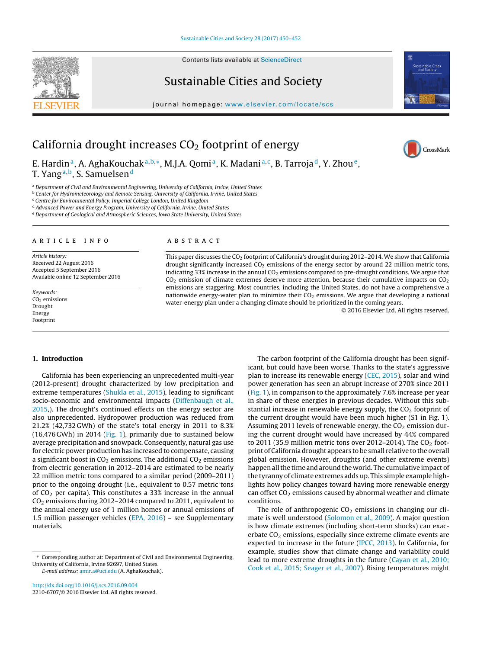Contents lists available at [ScienceDirect](http://www.sciencedirect.com/science/journal/22106707)

# Sustainable Cities and Society

journal homepage: [www.elsevier.com/locate/scs](http://www.elsevier.com/locate/scs)



CrossMark

## California drought increases  $CO<sub>2</sub>$  footprint of energy

E. Hardin<sup>a</sup>, A. AghaKouchak<sup>a, b,∗</sup>, M.J.A. Qomi<sup>a</sup>, K. Madani<sup>a, c</sup>, B. Tarroja<sup>d</sup>, Y. Zhou<sup>e</sup>, T. Yang<sup>a,b</sup>, S. Samuelsen<sup>d</sup>

a Department of Civil and Environmental Engineering, University of California, Irvine, United States

<sup>b</sup> Center for Hydrometeorology and Remote Sensing, University of California, Irvine, United States

<sup>c</sup> Centre for Environmental Policy, Imperial College London, United Kingdom

<sup>d</sup> Advanced Power and Energy Program, University of California, Irvine, United States <sup>e</sup> Department of Geological and Atmospheric Sciences, Iowa State University, United States

#### ARTICLE INFO

Article history: Received 22 August 2016 Accepted 5 September 2016 Available online 12 September 2016

Keywords:  $CO<sub>2</sub>$  emissions Drought Energy Footprint

#### A B S T R A C T

This paper discusses the  $CO<sub>2</sub>$  footprint of California's drought during 2012–2014. We show that California drought significantly increased  $CO<sub>2</sub>$  emissions of the energy sector by around 22 million metric tons, indicating 33% increase in the annual  $CO<sub>2</sub>$  emissions compared to pre-drought conditions. We argue that  $CO<sub>2</sub>$  emission of climate extremes deserve more attention, because their cumulative impacts on  $CO<sub>2</sub>$ emissions are staggering. Most countries, including the United States, do not have a comprehensive a nationwide energy-water plan to minimize their  $CO<sub>2</sub>$  emissions. We argue that developing a national water-energy plan under a changing climate should be prioritized in the coming years.

© 2016 Elsevier Ltd. All rights reserved.

#### **1. Introduction**

California has been experiencing an unprecedented multi-year (2012-present) drought characterized by low precipitation and extreme temperatures ([Shukla](#page-2-0) et [al.,](#page-2-0) [2015\),](#page-2-0) leading to significant socio-economic and environmental impacts ([Diffenbaugh](#page-1-0) et [al.,](#page-1-0) [2015,\)](#page-1-0). The drought's continued effects on the energy sector are also unprecedented. Hydropower production was reduced from 21.2% (42,732 GWh) of the state's total energy in 2011 to 8.3% (16,476 GWh) in 2014 ([Fig.](#page-1-0) 1), primarily due to sustained below average precipitation and snowpack. Consequently, natural gas use for electric power production has increased to compensate, causing a significant boost in  $CO<sub>2</sub>$  emissions. The additional  $CO<sub>2</sub>$  emissions from electric generation in 2012–2014 are estimated to be nearly 22 million metric tons compared to a similar period (2009–2011) prior to the ongoing drought (i.e., equivalent to 0.57 metric tons of  $CO<sub>2</sub>$  per capita). This constitutes a 33% increase in the annual CO2 emissions during 2012–2014 compared to 2011, equivalent to the annual energy use of 1 million homes or annual emissions of 1.5 million passenger vehicles ([EPA,](#page-1-0) [2016\)](#page-1-0) – see Supplementary materials.

E-mail address: [amir.a@uci.edu](mailto:amir.a@uci.edu) (A. AghaKouchak).

[http://dx.doi.org/10.1016/j.scs.2016.09.004](dx.doi.org/10.1016/j.scs.2016.09.004) 2210-6707/© 2016 Elsevier Ltd. All rights reserved.

The carbon footprint of the California drought has been significant, but could have been worse. Thanks to the state's aggressive plan to increase its renewable energy [\(CEC,](#page-1-0) [2015\),](#page-1-0) solar and wind power generation has seen an abrupt increase of 270% since 2011 [\(Fig.](#page-1-0) 1), in comparison to the approximately 7.6% increase per year in share of these energies in previous decades. Without this substantial increase in renewable energy supply, the  $CO<sub>2</sub>$  footprint of the current drought would have been much higher (S1 in Fig. 1). Assuming 2011 levels of renewable energy, the  $CO<sub>2</sub>$  emission during the current drought would have increased by 44% compared to 2011 (35.9 million metric tons over 2012–2014). The  $CO<sub>2</sub>$  footprint of California drought appears to be small relative to the overall global emission. However, droughts (and other extreme events) happen all the time and around the world. The cumulative impact of the tyranny of climate extremes adds up. This simple example highlights how policy changes toward having more renewable energy can offset  $CO<sub>2</sub>$  emissions caused by abnormal weather and climate conditions.

The role of anthropogenic  $CO<sub>2</sub>$  emissions in changing our climate is well understood ([Solomon](#page-2-0) et [al.,](#page-2-0) [2009\).](#page-2-0) A major question is how climate extremes (including short-term shocks) can exacerbate  $CO<sub>2</sub>$  emissions, especially since extreme climate events are expected to increase in the future [\(IPCC,](#page-1-0) [2013\).](#page-1-0) In California, for example, studies show that climate change and variability could lead to more extreme droughts in the future [\(Cayan](#page-1-0) et [al.,](#page-1-0) [2010;](#page-1-0) [Cook](#page-1-0) et [al.,](#page-1-0) [2015;](#page-1-0) [Seager](#page-1-0) et [al.,](#page-1-0) [2007\).](#page-1-0) Rising temperatures might





<sup>∗</sup> Corresponding author at: Department of Civil and Environmental Engineering, University of California, Irvine 92697, United States.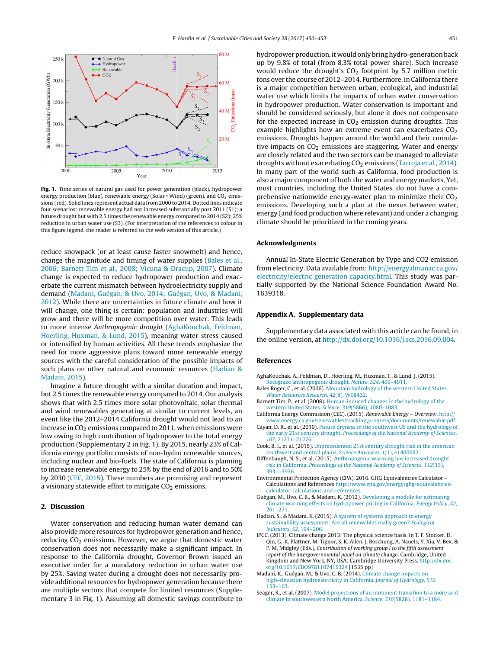<span id="page-1-0"></span>

**Fig. 1.** Time series of natural gas used for power generation (black), hydropower energy production (blue), renewable energy (Solar + Wind) (green), and  $CO<sub>2</sub>$  emissions (red). Solid lines represent actual data from 2000 to 2014. Dotted lines indicate four scenarios: renewable energy had not increased substantially post 2011 (S1); a future drought but with 2.5 times the renewable energy compared to 2014 (S2); 25% reduction in urban water use (S3). (For interpretation of the references to colour in this figure legend, the reader is referred to the web version of this article.)

reduce snowpack (or at least cause faster snowmelt) and hence, change the magnitude and timing of water supplies (Bales et al., 2006; Barnett Tim et al., 2008; Vicuna & Dracup, 2007). Climate change is expected to reduce hydropower production and exacerbate the current mismatch between hydroelectricity supply and demand (Madani, Guégan, & Uvo, 2014; Guégan, Uvo, & Madani, 2012). While there are uncertainties in future climate and how it will change, one thing is certain: population and industries will grow and there will be more competition over water. This leads to more intense Anthropogenic drought (AghaKouchak, Feldman, Hoerling, Huxman, & Lund, 2015), meaning water stress caused or intensified by human activities. All these trends emphasize the need for more aggressive plans toward more renewable energy sources with the careful consideration of the possible impacts of such plans on other natural and economic resources (Hadian & Madani, 2015).

Imagine a future drought with a similar duration and impact, but 2.5 times the renewable energy compared to 2014. Our analysis shows that with 2.5 times more solar photovoltaic, solar thermal and wind renewables generating at similar to current levels, an event like the 2012–2014 California drought would not lead to an increase in  $CO<sub>2</sub>$  emissions compared to 2011, when emissions were low owing to high contribution of hydropower to the total energy production (Supplementary 2 in Fig. 1). By 2015, nearly 23% of California energy portfolio consists of non-hydro renewable sources, including nuclear and bio-fuels. The state of California is planning to increase renewable energy to 25% by the end of 2016 and to 50% by 2030 (CEC, 2015). These numbers are promising and represent a visionary statewide effort to mitigate  $CO<sub>2</sub>$  emissions.

### **2. Discussion**

Water conservation and reducing human water demand can also provide more resources for hydropower generation and hence, reducing  $CO<sub>2</sub>$  emissions. However, we argue that domestic water conservation does not necessarily make a significant impact. In response to the California drought, Governor Brown issued an executive order for a mandatory reduction in urban water use by 25%. Saving water during a drought does not necessarily provide additional resources for hydropower generation because there are multiple sectors that compete for limited resources (Supplementary 3 in Fig. 1). Assuming all domestic savings contribute to

hydropower production, it would only bring hydro-generation back up by 9.8% of total (from 8.3% total power share). Such increase would reduce the drought's  $CO<sub>2</sub>$  footprint by 5.7 million metric tons over the course of 2012–2014. Furthermore, in California there is a major competition between urban, ecological, and industrial water use which limits the impacts of urban water conservation in hydropower production. Water conservation is important and should be considered seriously, but alone it does not compensate for the expected increase in  $CO<sub>2</sub>$  emission during droughts. This example highlights how an extreme event can exacerbates  $CO<sub>2</sub>$ emissions. Droughts happen around the world and their cumulative impacts on  $CO<sub>2</sub>$  emissions are staggering. Water and energy are closely related and the two sectors can be managed to alleviate droughts without exacerbating  $CO<sub>2</sub>$  emissions ([Tarroja](#page-2-0) et [al.,](#page-2-0) [2014\).](#page-2-0) In many part of the world such as California, food production is also a major component of both the water and energy markets. Yet, most countries, including the United States, do not have a comprehensive nationwide energy-water plan to minimize their  $CO<sub>2</sub>$ emissions. Developing such a plan at the nexus between water, energy (and food production where relevant) and under a changing climate should be prioritized in the coming years.

#### **Acknowledgments**

Annual In-State Electric Generation by Type and CO2 emission from electricity. Data available from: [http://energyalmanac.ca.gov/](http://energyalmanac.ca.gov/electricity/electric_generation_capacity.html) [electricity/electric](http://energyalmanac.ca.gov/electricity/electric_generation_capacity.html) [generation](http://energyalmanac.ca.gov/electricity/electric_generation_capacity.html) [capacity.html](http://energyalmanac.ca.gov/electricity/electric_generation_capacity.html). This study was partially supported by the National Science Foundation Award No. 1639318.

## **Appendix A. Supplementary data**

Supplementary data associated with this article can be found, in the online version, at [http://dx.doi.org/10.1016/j.scs.2016.09.004.](http://dx.doi.org/10.1016/j.scs.2016.09.004)

#### **References**

- AghaKouchak, A., Feldman, D., Hoerling, M., Huxman, T., & Lund, J. (2015). [Recognize](http://refhub.elsevier.com/S2210-6707(16)30345-6/sbref0005) [anthropogenic](http://refhub.elsevier.com/S2210-6707(16)30345-6/sbref0005) [drought.](http://refhub.elsevier.com/S2210-6707(16)30345-6/sbref0005) [Nature](http://refhub.elsevier.com/S2210-6707(16)30345-6/sbref0005)[,](http://refhub.elsevier.com/S2210-6707(16)30345-6/sbref0005) [524](http://refhub.elsevier.com/S2210-6707(16)30345-6/sbref0005)[,](http://refhub.elsevier.com/S2210-6707(16)30345-6/sbref0005) [409](http://refhub.elsevier.com/S2210-6707(16)30345-6/sbref0005)–[4011.](http://refhub.elsevier.com/S2210-6707(16)30345-6/sbref0005)
- Bales Roger, C., et al. (2006). [Mountain](http://refhub.elsevier.com/S2210-6707(16)30345-6/sbref0010) [hydrology](http://refhub.elsevier.com/S2210-6707(16)30345-6/sbref0010) [of](http://refhub.elsevier.com/S2210-6707(16)30345-6/sbref0010) [the](http://refhub.elsevier.com/S2210-6707(16)30345-6/sbref0010) [western](http://refhub.elsevier.com/S2210-6707(16)30345-6/sbref0010) [United](http://refhub.elsevier.com/S2210-6707(16)30345-6/sbref0010) [States.](http://refhub.elsevier.com/S2210-6707(16)30345-6/sbref0010) [Water](http://refhub.elsevier.com/S2210-6707(16)30345-6/sbref0010) [Resources](http://refhub.elsevier.com/S2210-6707(16)30345-6/sbref0010) [Research](http://refhub.elsevier.com/S2210-6707(16)30345-6/sbref0010)[,](http://refhub.elsevier.com/S2210-6707(16)30345-6/sbref0010) [42](http://refhub.elsevier.com/S2210-6707(16)30345-6/sbref0010)[\(8\),](http://refhub.elsevier.com/S2210-6707(16)30345-6/sbref0010) [W08432.](http://refhub.elsevier.com/S2210-6707(16)30345-6/sbref0010)
- Barnett Tim, P., et al. (2008). [Human-induced](http://refhub.elsevier.com/S2210-6707(16)30345-6/sbref0015) [changes](http://refhub.elsevier.com/S2210-6707(16)30345-6/sbref0015) [in](http://refhub.elsevier.com/S2210-6707(16)30345-6/sbref0015) [the](http://refhub.elsevier.com/S2210-6707(16)30345-6/sbref0015) [hydrology](http://refhub.elsevier.com/S2210-6707(16)30345-6/sbref0015) [of](http://refhub.elsevier.com/S2210-6707(16)30345-6/sbref0015) [the](http://refhub.elsevier.com/S2210-6707(16)30345-6/sbref0015) [western](http://refhub.elsevier.com/S2210-6707(16)30345-6/sbref0015) [United](http://refhub.elsevier.com/S2210-6707(16)30345-6/sbref0015) [States.](http://refhub.elsevier.com/S2210-6707(16)30345-6/sbref0015) [Science](http://refhub.elsevier.com/S2210-6707(16)30345-6/sbref0015)[,](http://refhub.elsevier.com/S2210-6707(16)30345-6/sbref0015) [319](http://refhub.elsevier.com/S2210-6707(16)30345-6/sbref0015)[\(5866\),](http://refhub.elsevier.com/S2210-6707(16)30345-6/sbref0015) [1080–1083.](http://refhub.elsevier.com/S2210-6707(16)30345-6/sbref0015)
- California Energy Commission (CEC). (2015). Renewable Energy Overview. [http://](http://www.energy.ca.gov/renewables/tracking_progress/documents/renewable.pdf) [www.energy.ca.gov/renewables/tracking](http://www.energy.ca.gov/renewables/tracking_progress/documents/renewable.pdf) [progress/documents/renewable.pdf](http://www.energy.ca.gov/renewables/tracking_progress/documents/renewable.pdf)
- Cayan, D. R., et al. (2010). [Future](http://refhub.elsevier.com/S2210-6707(16)30345-6/sbref0025) [dryness](http://refhub.elsevier.com/S2210-6707(16)30345-6/sbref0025) [in](http://refhub.elsevier.com/S2210-6707(16)30345-6/sbref0025) [the](http://refhub.elsevier.com/S2210-6707(16)30345-6/sbref0025) [southwest](http://refhub.elsevier.com/S2210-6707(16)30345-6/sbref0025) [US](http://refhub.elsevier.com/S2210-6707(16)30345-6/sbref0025) [and](http://refhub.elsevier.com/S2210-6707(16)30345-6/sbref0025) [the](http://refhub.elsevier.com/S2210-6707(16)30345-6/sbref0025) [hydrology](http://refhub.elsevier.com/S2210-6707(16)30345-6/sbref0025) [of](http://refhub.elsevier.com/S2210-6707(16)30345-6/sbref0025) [the](http://refhub.elsevier.com/S2210-6707(16)30345-6/sbref0025) [early](http://refhub.elsevier.com/S2210-6707(16)30345-6/sbref0025) [21st](http://refhub.elsevier.com/S2210-6707(16)30345-6/sbref0025) [century](http://refhub.elsevier.com/S2210-6707(16)30345-6/sbref0025) [drought.](http://refhub.elsevier.com/S2210-6707(16)30345-6/sbref0025) [Proceedings](http://refhub.elsevier.com/S2210-6707(16)30345-6/sbref0025) [of](http://refhub.elsevier.com/S2210-6707(16)30345-6/sbref0025) [the](http://refhub.elsevier.com/S2210-6707(16)30345-6/sbref0025) [National](http://refhub.elsevier.com/S2210-6707(16)30345-6/sbref0025) [Academy](http://refhub.elsevier.com/S2210-6707(16)30345-6/sbref0025) [of](http://refhub.elsevier.com/S2210-6707(16)30345-6/sbref0025) [Sciences](http://refhub.elsevier.com/S2210-6707(16)30345-6/sbref0025)[,](http://refhub.elsevier.com/S2210-6707(16)30345-6/sbref0025) [107](http://refhub.elsevier.com/S2210-6707(16)30345-6/sbref0025), [21271–21276.](http://refhub.elsevier.com/S2210-6707(16)30345-6/sbref0025)
- Cook, B. I., et al. (2015). [Unprecedented](http://refhub.elsevier.com/S2210-6707(16)30345-6/sbref0030) [21st](http://refhub.elsevier.com/S2210-6707(16)30345-6/sbref0030) [century](http://refhub.elsevier.com/S2210-6707(16)30345-6/sbref0030) [drought](http://refhub.elsevier.com/S2210-6707(16)30345-6/sbref0030) [risk](http://refhub.elsevier.com/S2210-6707(16)30345-6/sbref0030) [in](http://refhub.elsevier.com/S2210-6707(16)30345-6/sbref0030) [the](http://refhub.elsevier.com/S2210-6707(16)30345-6/sbref0030) [american](http://refhub.elsevier.com/S2210-6707(16)30345-6/sbref0030) [southwest](http://refhub.elsevier.com/S2210-6707(16)30345-6/sbref0030) [and](http://refhub.elsevier.com/S2210-6707(16)30345-6/sbref0030) [central](http://refhub.elsevier.com/S2210-6707(16)30345-6/sbref0030) [plains.](http://refhub.elsevier.com/S2210-6707(16)30345-6/sbref0030) [Science](http://refhub.elsevier.com/S2210-6707(16)30345-6/sbref0030) [Advances](http://refhub.elsevier.com/S2210-6707(16)30345-6/sbref0030)[,](http://refhub.elsevier.com/S2210-6707(16)30345-6/sbref0030) [1](http://refhub.elsevier.com/S2210-6707(16)30345-6/sbref0030)[\(1\),](http://refhub.elsevier.com/S2210-6707(16)30345-6/sbref0030) [e1400082.](http://refhub.elsevier.com/S2210-6707(16)30345-6/sbref0030)
- Diffenbaugh, N. S., et al. (2015). [Anthropogenic](http://refhub.elsevier.com/S2210-6707(16)30345-6/sbref0035) [warming](http://refhub.elsevier.com/S2210-6707(16)30345-6/sbref0035) [has](http://refhub.elsevier.com/S2210-6707(16)30345-6/sbref0035) [increased](http://refhub.elsevier.com/S2210-6707(16)30345-6/sbref0035) [drought](http://refhub.elsevier.com/S2210-6707(16)30345-6/sbref0035) [risk](http://refhub.elsevier.com/S2210-6707(16)30345-6/sbref0035) [in](http://refhub.elsevier.com/S2210-6707(16)30345-6/sbref0035) [California.](http://refhub.elsevier.com/S2210-6707(16)30345-6/sbref0035) [Proceedings](http://refhub.elsevier.com/S2210-6707(16)30345-6/sbref0035) [of](http://refhub.elsevier.com/S2210-6707(16)30345-6/sbref0035) [the](http://refhub.elsevier.com/S2210-6707(16)30345-6/sbref0035) [National](http://refhub.elsevier.com/S2210-6707(16)30345-6/sbref0035) [Academy](http://refhub.elsevier.com/S2210-6707(16)30345-6/sbref0035) [of](http://refhub.elsevier.com/S2210-6707(16)30345-6/sbref0035) [Sciences](http://refhub.elsevier.com/S2210-6707(16)30345-6/sbref0035), [112](http://refhub.elsevier.com/S2210-6707(16)30345-6/sbref0035)[\(13\),](http://refhub.elsevier.com/S2210-6707(16)30345-6/sbref0035) [3931–3936.](http://refhub.elsevier.com/S2210-6707(16)30345-6/sbref0035)
- Environmental Protection Agency (EPA), 2016. GHG Equivalencies Calculator Calculations and References [http://www.epa.gov/energy/ghg-equivalencies](http://www.epa.gov/energy/ghg-equivalencies-calculator-calculations-and-references)[calculator-calculations-and-references.](http://www.epa.gov/energy/ghg-equivalencies-calculator-calculations-and-references)
- Guégan, M., Uvo, C. B., & Madani, K. (2012). [Developing](http://refhub.elsevier.com/S2210-6707(16)30345-6/sbref0045) [a](http://refhub.elsevier.com/S2210-6707(16)30345-6/sbref0045) [module](http://refhub.elsevier.com/S2210-6707(16)30345-6/sbref0045) [for](http://refhub.elsevier.com/S2210-6707(16)30345-6/sbref0045) [estimating](http://refhub.elsevier.com/S2210-6707(16)30345-6/sbref0045) [climate](http://refhub.elsevier.com/S2210-6707(16)30345-6/sbref0045) [warming](http://refhub.elsevier.com/S2210-6707(16)30345-6/sbref0045) [effects](http://refhub.elsevier.com/S2210-6707(16)30345-6/sbref0045) [on](http://refhub.elsevier.com/S2210-6707(16)30345-6/sbref0045) [hydropower](http://refhub.elsevier.com/S2210-6707(16)30345-6/sbref0045) [pricing](http://refhub.elsevier.com/S2210-6707(16)30345-6/sbref0045) [in](http://refhub.elsevier.com/S2210-6707(16)30345-6/sbref0045) [California.](http://refhub.elsevier.com/S2210-6707(16)30345-6/sbref0045) [Energy](http://refhub.elsevier.com/S2210-6707(16)30345-6/sbref0045) [Policy](http://refhub.elsevier.com/S2210-6707(16)30345-6/sbref0045)[,](http://refhub.elsevier.com/S2210-6707(16)30345-6/sbref0045) [42](http://refhub.elsevier.com/S2210-6707(16)30345-6/sbref0045)[,](http://refhub.elsevier.com/S2210-6707(16)30345-6/sbref0045) [261–271.](http://refhub.elsevier.com/S2210-6707(16)30345-6/sbref0045)
- Hadian, S., & Madani, K. (2015). [A](http://refhub.elsevier.com/S2210-6707(16)30345-6/sbref0050) [system](http://refhub.elsevier.com/S2210-6707(16)30345-6/sbref0050) [of](http://refhub.elsevier.com/S2210-6707(16)30345-6/sbref0050) [systems](http://refhub.elsevier.com/S2210-6707(16)30345-6/sbref0050) [approach](http://refhub.elsevier.com/S2210-6707(16)30345-6/sbref0050) [to](http://refhub.elsevier.com/S2210-6707(16)30345-6/sbref0050) [energy](http://refhub.elsevier.com/S2210-6707(16)30345-6/sbref0050) [sustainability](http://refhub.elsevier.com/S2210-6707(16)30345-6/sbref0050) [assessment:](http://refhub.elsevier.com/S2210-6707(16)30345-6/sbref0050) [Are](http://refhub.elsevier.com/S2210-6707(16)30345-6/sbref0050) [all](http://refhub.elsevier.com/S2210-6707(16)30345-6/sbref0050) [renewables](http://refhub.elsevier.com/S2210-6707(16)30345-6/sbref0050) [really](http://refhub.elsevier.com/S2210-6707(16)30345-6/sbref0050) [green?](http://refhub.elsevier.com/S2210-6707(16)30345-6/sbref0050) [Ecological](http://refhub.elsevier.com/S2210-6707(16)30345-6/sbref0050) [Indicators](http://refhub.elsevier.com/S2210-6707(16)30345-6/sbref0050)[,](http://refhub.elsevier.com/S2210-6707(16)30345-6/sbref0050) [52](http://refhub.elsevier.com/S2210-6707(16)30345-6/sbref0050)[,](http://refhub.elsevier.com/S2210-6707(16)30345-6/sbref0050) [194–206.](http://refhub.elsevier.com/S2210-6707(16)30345-6/sbref0050)
- IPCC. (2013). Climate change 2013: The physical science basis. In T. F. Stocker, D. Qin, G.-K. Plattner, M. Tignor, S. K. Allen, J. Boschung, A. Nauels, Y. Xia, V. Bex, & P. M. Midgley (Eds.), Contribution of working group I to the fifth assessment report of the intergovernmental panel on climate change. Cambridge, United Kingdom and New York, NY, USA: Cambridge University Press. [http://dx.doi.](dx.doi.org/10.1017/CBO9781107415324) [org/10.1017/CBO9781107415324](dx.doi.org/10.1017/CBO9781107415324) [1535 pp]
- Madani, K., Guégan, M., & Uvo, C. B. (2014). [Climate](http://refhub.elsevier.com/S2210-6707(16)30345-6/sbref0060) [change](http://refhub.elsevier.com/S2210-6707(16)30345-6/sbref0060) [impacts](http://refhub.elsevier.com/S2210-6707(16)30345-6/sbref0060) [on](http://refhub.elsevier.com/S2210-6707(16)30345-6/sbref0060) [high-elevation](http://refhub.elsevier.com/S2210-6707(16)30345-6/sbref0060) [hydroelectricity](http://refhub.elsevier.com/S2210-6707(16)30345-6/sbref0060) [in](http://refhub.elsevier.com/S2210-6707(16)30345-6/sbref0060) [California.](http://refhub.elsevier.com/S2210-6707(16)30345-6/sbref0060) [Journal](http://refhub.elsevier.com/S2210-6707(16)30345-6/sbref0060) [of](http://refhub.elsevier.com/S2210-6707(16)30345-6/sbref0060) [Hydrology](http://refhub.elsevier.com/S2210-6707(16)30345-6/sbref0060)[,](http://refhub.elsevier.com/S2210-6707(16)30345-6/sbref0060) [510](http://refhub.elsevier.com/S2210-6707(16)30345-6/sbref0060)[,](http://refhub.elsevier.com/S2210-6707(16)30345-6/sbref0060) [153](http://refhub.elsevier.com/S2210-6707(16)30345-6/sbref0060)–[163.](http://refhub.elsevier.com/S2210-6707(16)30345-6/sbref0060)
- Seager, R., et al. (2007). [Model](http://refhub.elsevier.com/S2210-6707(16)30345-6/sbref0065) [projections](http://refhub.elsevier.com/S2210-6707(16)30345-6/sbref0065) [of](http://refhub.elsevier.com/S2210-6707(16)30345-6/sbref0065) [an](http://refhub.elsevier.com/S2210-6707(16)30345-6/sbref0065) [imminent](http://refhub.elsevier.com/S2210-6707(16)30345-6/sbref0065) [transition](http://refhub.elsevier.com/S2210-6707(16)30345-6/sbref0065) [to](http://refhub.elsevier.com/S2210-6707(16)30345-6/sbref0065) [a](http://refhub.elsevier.com/S2210-6707(16)30345-6/sbref0065) [more](http://refhub.elsevier.com/S2210-6707(16)30345-6/sbref0065) [arid](http://refhub.elsevier.com/S2210-6707(16)30345-6/sbref0065) [climate](http://refhub.elsevier.com/S2210-6707(16)30345-6/sbref0065) [in](http://refhub.elsevier.com/S2210-6707(16)30345-6/sbref0065) [southwestern](http://refhub.elsevier.com/S2210-6707(16)30345-6/sbref0065) [North](http://refhub.elsevier.com/S2210-6707(16)30345-6/sbref0065) [America.](http://refhub.elsevier.com/S2210-6707(16)30345-6/sbref0065) [Science](http://refhub.elsevier.com/S2210-6707(16)30345-6/sbref0065), [316](http://refhub.elsevier.com/S2210-6707(16)30345-6/sbref0065)[\(5828\),](http://refhub.elsevier.com/S2210-6707(16)30345-6/sbref0065) [1181](http://refhub.elsevier.com/S2210-6707(16)30345-6/sbref0065)–[1184.](http://refhub.elsevier.com/S2210-6707(16)30345-6/sbref0065)